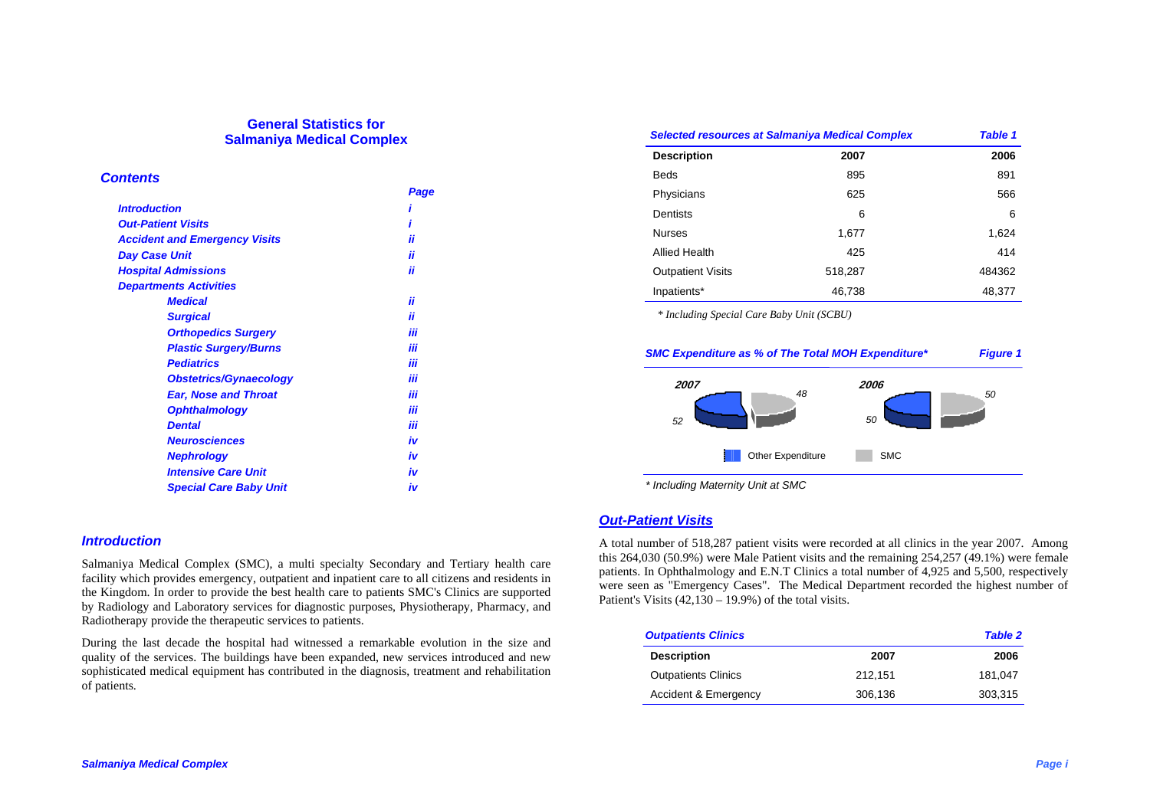# **General Statistics for Salmaniya Medical Complex**

#### *Contents*

|                                      | Page |
|--------------------------------------|------|
| <b>Introduction</b>                  |      |
| <b>Out-Patient Visits</b>            |      |
| <b>Accident and Emergency Visits</b> | ii   |
| <b>Day Case Unit</b>                 | ii   |
| <b>Hospital Admissions</b>           | ii   |
| <b>Departments Activities</b>        |      |
| <b>Medical</b>                       | ii   |
| <b>Surgical</b>                      | ii   |
| <b>Orthopedics Surgery</b>           | iii  |
| <b>Plastic Surgery/Burns</b>         | iii  |
| <b>Pediatrics</b>                    | iii  |
| <b>Obstetrics/Gynaecology</b>        | iii  |
| <b>Ear, Nose and Throat</b>          | iii  |
| <b>Ophthalmology</b>                 | iii  |
| <b>Dental</b>                        | iii  |
| <b>Neurosciences</b>                 | iv   |
| <b>Nephrology</b>                    | iv   |
| <b>Intensive Care Unit</b>           | iv   |
| <b>Special Care Baby Unit</b>        | iv   |

### *Introduction*

Salmaniya Medical Complex (SMC), a multi specialty Secondary and Tertiary health care facility which provides emergency, outpatient and inpatient care to all citizens and residents in the Kingdom. In order to provide the best health care to patients SMC's Clinics are supported by Radiology and Laboratory services for diagnostic purposes, Physiotherapy, Pharmacy, and Radiotherapy provide the therapeutic services to patients.

During the last decade the hospital had witnessed a remarkable evolution in the size and quality of the services. The buildings have been expanded, new services introduced and new sophisticated medical equipment has contributed in the diagnosis, treatment and rehabilitation of patients.

| <b>Selected resources at Salmaniya Medical Complex</b> |         | <b>Table 1</b> |
|--------------------------------------------------------|---------|----------------|
| <b>Description</b>                                     | 2007    | 2006           |
| <b>Beds</b>                                            | 895     | 891            |
| Physicians                                             | 625     | 566            |
| <b>Dentists</b>                                        | 6       | 6              |
| <b>Nurses</b>                                          | 1.677   | 1,624          |
| Allied Health                                          | 425     | 414            |
| <b>Outpatient Visits</b>                               | 518,287 | 484362         |
| Inpatients*                                            | 46,738  | 48,377         |

*\* Including Special Care Baby Unit (SCBU)* 





# *Out-Patient Visits*

A total number of 518,287 patient visits were recorded at all clinics in the year 2007. Among this 264,030 (50.9%) were Male Patient visits and the remaining 254,257 (49.1%) were female patients. In Ophthalmology and E.N.T Clinics a total number of 4,925 and 5,500, respectively were seen as "Emergency Cases". The Medical Department recorded the highest number of Patient's Visits (42,130 – 19.9%) of the total visits.

| <b>Outpatients Clinics</b> |         | <b>Table 2</b> |
|----------------------------|---------|----------------|
| <b>Description</b>         | 2007    | 2006           |
| <b>Outpatients Clinics</b> | 212.151 | 181.047        |
| Accident & Emergency       | 306,136 | 303.315        |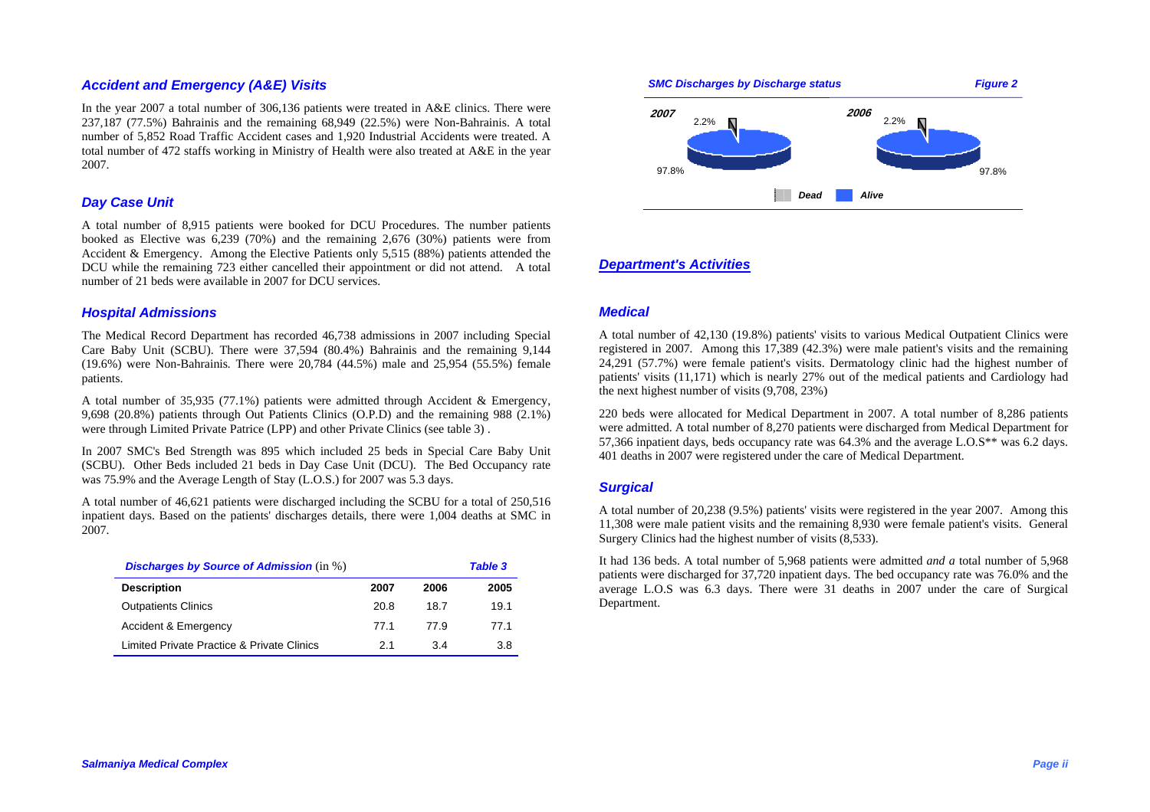# *Accident and Emergency (A&E) Visits*

In the year 2007 a total number of 306,136 patients were treated in A&E clinics. There were 237,187 (77.5%) Bahrainis and the remaining 68,949 (22.5%) were Non-Bahrainis. A total number of 5,852 Road Traffic Accident cases and 1,920 Industrial Accidents were treated. A total number of 472 staffs working in Ministry of Health were also treated at A&E in the year 2007.

## *Day Case Unit*

A total number of 8,915 patients were booked for DCU Procedures. The number patients booked as Elective was 6,239 (70%) and the remaining 2,676 (30%) patients were from Accident & Emergency. Among the Elective Patients only 5,515 (88%) patients attended the DCU while the remaining 723 either cancelled their appointment or did not attend. A total number of 21 beds were available in 2007 for DCU services.

#### *Hospital Admissions*

The Medical Record Department has recorded 46,738 admissions in 2007 including Special Care Baby Unit (SCBU). There were 37,594 (80.4%) Bahrainis and the remaining 9,144 (19.6%) were Non-Bahrainis*.* There were 20,784 (44.5%) male and 25,954 (55.5%) female patients.

A total number of 35,935 (77.1%) patients were admitted through Accident & Emergency, 9,698 (20.8%) patients through Out Patients Clinics (O.P.D) and the remaining 988 (2.1%) were through Limited Private Patrice (LPP) and other Private Clinics (see table 3) .

In 2007 SMC's Bed Strength was 895 which included 25 beds in Special Care Baby Unit (SCBU). Other Beds included 21 beds in Day Case Unit (DCU). The Bed Occupancy rate was 75.9% and the Average Length of Stay (L.O.S.) for 2007 was 5.3 days.

A total number of 46,621 patients were discharged including the SCBU for a total of 250,516 inpatient days. Based on the patients' discharges details, there were 1,004 deaths at SMC in 2007.

| <b>Discharges by Source of Admission</b> (in %) |      |      | <b>Table 3</b> |
|-------------------------------------------------|------|------|----------------|
| <b>Description</b>                              | 2007 | 2006 | 2005           |
| <b>Outpatients Clinics</b>                      | 20.8 | 18.7 | 19.1           |
| Accident & Emergency                            | 77.1 | 77.9 | 77.1           |
| Limited Private Practice & Private Clinics      | 21   | 3.4  | 3.8            |



#### *Department's Activities*

### *Medical*

A total number of 42,130 (19.8%) patients' visits to various Medical Outpatient Clinics were registered in 2007*.* Among this 17,389 (42.3%) were male patient's visits and the remaining 24,291 (57.7%) were female patient's visits. Dermatology clinic had the highest number of patients' visits (11,171) which is nearly 27% out of the medical patients and Cardiology had the next highest number of visits (9,708, 23%)

220 beds were allocated for Medical Department in 2007. A total number of 8,286 patients were admitted. A total number of 8,270 patients were discharged from Medical Department for 57,366 inpatient days, beds occupancy rate was 64.3% and the average L.O.S\*\* was 6.2 days. 401 deaths in 2007 were registered under the care of Medical Department.

#### *Surgical*

A total number of 20,238 (9.5%) patients' visits were registered in the year 2007. Among this 11,308 were male patient visits and the remaining 8,930 were female patient's visits. General Surgery Clinics had the highest number of visits (8,533).

It had 136 beds. A total number of 5,968 patients were admitted *and a* total number of 5,968 patients were discharged for 37,720 inpatient days. The bed occupancy rate was 76.0% and the average L.O.S was 6.3 days. There were 31 deaths in 2007 under the care of Surgical Department.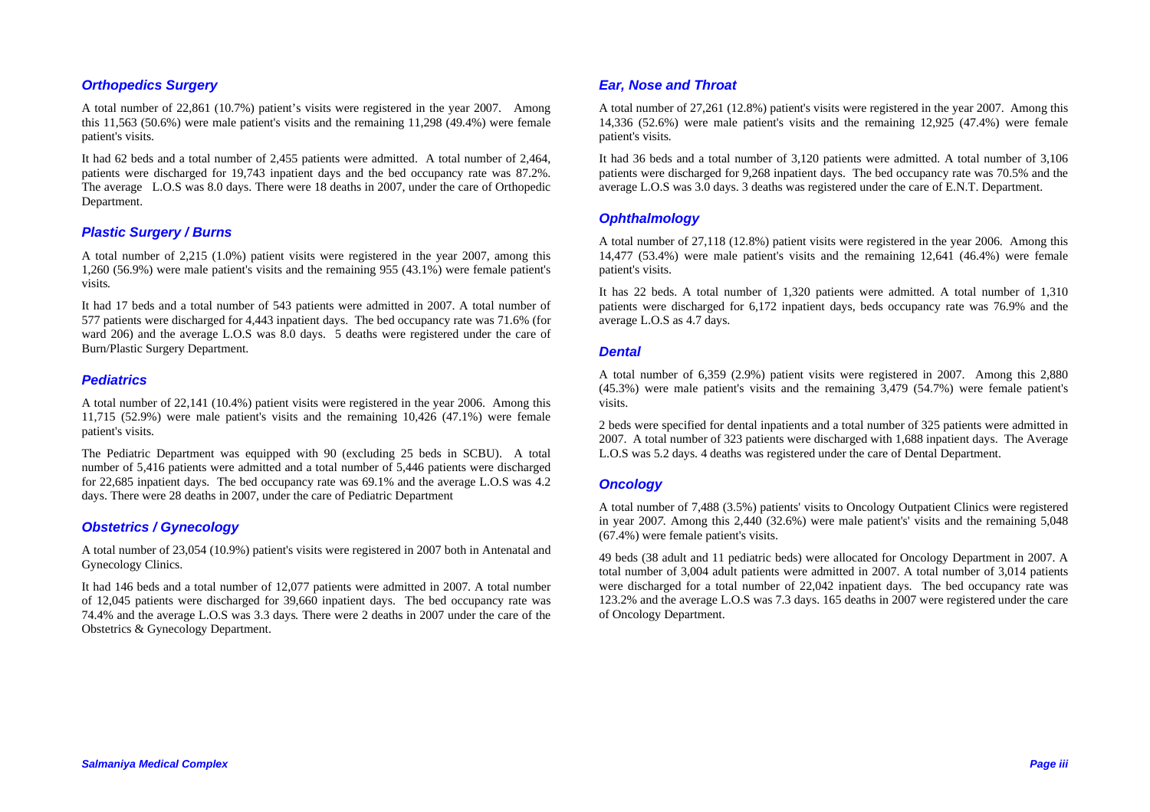# *Orthopedics Surgery*

A total number of 22,861 (10.7%) patient's visits were registered in the year 2007. Among this 11,563 (50.6%) were male patient's visits and the remaining 11,298 (49.4%) were female patient's visits.

It had 62 beds and a total number of 2,455 patients were admitted. A total number of 2,464, patients were discharged for 19,743 inpatient days and the bed occupancy rate was 87.2%. The average L.O.S was 8.0 days. There were 18 deaths in 2007, under the care of Orthopedic Department.

# *Plastic Surgery / Burns*

A total number of 2,215 (1.0%) patient visits were registered in the year 2007, among this 1,260 (56.9%) were male patient's visits and the remaining 955 (43.1%) were female patient's visits*.*

It had 17 beds and a total number of 543 patients were admitted in 2007. A total number of 577 patients were discharged for 4,443 inpatient days. The bed occupancy rate was 71.6% (for ward 206) and the average L.O.S was 8.0 days. 5 deaths were registered under the care of Burn/Plastic Surgery Department.

### *Pediatrics*

A total number of 22,141 (10.4%) patient visits were registered in the year 2006. Among this 11,715 (52.9%) were male patient's visits and the remaining 10,426 (47.1%) were female patient's visits.

The Pediatric Department was equipped with 90 (excluding 25 beds in SCBU). A total number of 5,416 patients were admitted and a total number of 5,446 patients were discharged for 22,685 inpatient days. The bed occupancy rate was 69.1% and the average L.O.S was 4.2 days. There were 28 deaths in 2007, under the care of Pediatric Department

### *Obstetrics / Gynecology*

A total number of 23,054 (10.9%) patient's visits were registered in 2007 both in Antenatal and Gynecology Clinics.

It had 146 beds and a total number of 12,077 patients were admitted in 2007. A total number of 12,045 patients were discharged for 39,660 inpatient days. The bed occupancy rate was 74.4% and the average L.O.S was 3.3 days*.* There were 2 deaths in 2007 under the care of the Obstetrics & Gynecology Department.

## *Ear, Nose and Throat*

A total number of 27,261 (12.8%) patient's visits were registered in the year 2007. Among this 14,336 (52.6%) were male patient's visits and the remaining 12,925 (47.4%) were female patient's visits*.*

It had 36 beds and a total number of 3,120 patients were admitted. A total number of 3,106 patients were discharged for 9,268 inpatient days. The bed occupancy rate was 70.5% and the average L.O.S was 3.0 days. 3 deaths was registered under the care of E.N.T. Department.

#### *Ophthalmology*

A total number of 27,118 (12.8%) patient visits were registered in the year 2006. Among this 14,477 (53.4%) were male patient's visits and the remaining 12,641 (46.4%) were female patient's visits.

It has 22 beds. A total number of 1,320 patients were admitted. A total number of 1,310 patients were discharged for 6,172 inpatient days, beds occupancy rate was 76.9% and the average L.O.S as 4.7 days.

#### *Dental*

A total number of 6,359 (2.9%) patient visits were registered in 2007. Among this 2,880 (45.3%) were male patient's visits and the remaining 3,479 (54.7%) were female patient's visits.

2 beds were specified for dental inpatients and a total number of 325 patients were admitted in 2007. A total number of 323 patients were discharged with 1,688 inpatient days. The Average L.O.S was 5.2 days. 4 deaths was registered under the care of Dental Department.

### *Oncology*

A total number of 7,488 (3.5%) patients' visits to Oncology Outpatient Clinics were registered in year 200*7.* Among this 2,440 (32.6%) were male patient's' visits and the remaining 5,048 (67.4%) were female patient's visits.

49 beds (38 adult and 11 pediatric beds) were allocated for Oncology Department in 2007. A total number of 3,004 adult patients were admitted in 2007. A total number of 3,014 patients were discharged for a total number of 22,042 inpatient days. The bed occupancy rate was 123.2% and the average L.O.S was 7.3 days. 165 deaths in 2007 were registered under the care of Oncology Department.